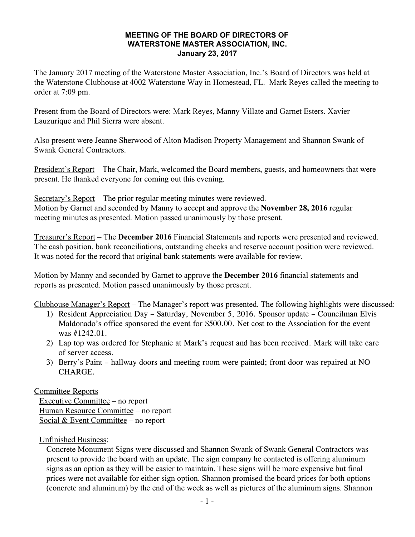## **MEETING OF THE BOARD OF DIRECTORS OF WATERSTONE MASTER ASSOCIATION, INC. January 23, 2017**

The January 2017 meeting of the Waterstone Master Association, Inc.'s Board of Directors was held at the Waterstone Clubhouse at 4002 Waterstone Way in Homestead, FL. Mark Reyes called the meeting to order at 7:09 pm.

Present from the Board of Directors were: Mark Reyes, Manny Villate and Garnet Esters. Xavier Lauzurique and Phil Sierra were absent.

Also present were Jeanne Sherwood of Alton Madison Property Management and Shannon Swank of Swank General Contractors.

President's Report – The Chair, Mark, welcomed the Board members, guests, and homeowners that were present. He thanked everyone for coming out this evening.

Secretary's Report – The prior regular meeting minutes were reviewed. Motion by Garnet and seconded by Manny to accept and approve the **November 28, 2016** regular meeting minutes as presented. Motion passed unanimously by those present.

Treasurer's Report – The **December 2016** Financial Statements and reports were presented and reviewed. The cash position, bank reconciliations, outstanding checks and reserve account position were reviewed. It was noted for the record that original bank statements were available for review.

Motion by Manny and seconded by Garnet to approve the **December 2016** financial statements and reports as presented. Motion passed unanimously by those present.

Clubhouse Manager's Report – The Manager's report was presented. The following highlights were discussed:

- 1) Resident Appreciation Day Saturday, November 5, 2016. Sponsor update Councilman Elvis Maldonado's office sponsored the event for \$500.00. Net cost to the Association for the event was #1242.01.
- 2) Lap top was ordered for Stephanie at Mark's request and has been received. Mark will take care of server access.
- 3) Berry's Paint hallway doors and meeting room were painted; front door was repaired at NO CHARGE.

Committee Reports

Executive Committee – no report Human Resource Committee – no report Social & Event Committee - no report

Unfinished Business:

Concrete Monument Signs were discussed and Shannon Swank of Swank General Contractors was present to provide the board with an update. The sign company he contacted is offering aluminum signs as an option as they will be easier to maintain. These signs will be more expensive but final prices were not available for either sign option. Shannon promised the board prices for both options (concrete and aluminum) by the end of the week as well as pictures of the aluminum signs. Shannon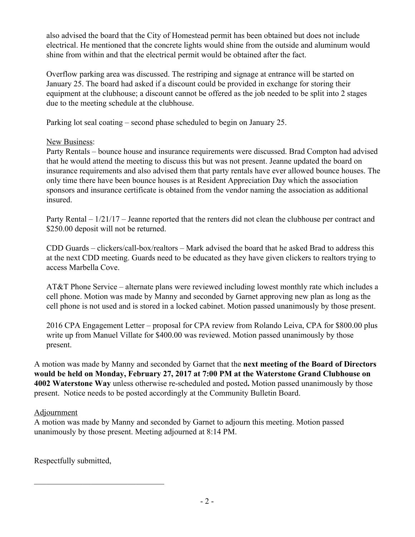also advised the board that the City of Homestead permit has been obtained but does not include electrical. He mentioned that the concrete lights would shine from the outside and aluminum would shine from within and that the electrical permit would be obtained after the fact.

Overflow parking area was discussed. The restriping and signage at entrance will be started on January 25. The board had asked if a discount could be provided in exchange for storing their equipment at the clubhouse; a discount cannot be offered as the job needed to be split into 2 stages due to the meeting schedule at the clubhouse.

Parking lot seal coating – second phase scheduled to begin on January 25.

## New Business:

Party Rentals – bounce house and insurance requirements were discussed. Brad Compton had advised that he would attend the meeting to discuss this but was not present. Jeanne updated the board on insurance requirements and also advised them that party rentals have ever allowed bounce houses. The only time there have been bounce houses is at Resident Appreciation Day which the association sponsors and insurance certificate is obtained from the vendor naming the association as additional insured.

Party Rental – 1/21/17 – Jeanne reported that the renters did not clean the clubhouse per contract and \$250.00 deposit will not be returned.

CDD Guards – clickers/call-box/realtors – Mark advised the board that he asked Brad to address this at the next CDD meeting. Guards need to be educated as they have given clickers to realtors trying to access Marbella Cove.

AT&T Phone Service – alternate plans were reviewed including lowest monthly rate which includes a cell phone. Motion was made by Manny and seconded by Garnet approving new plan as long as the cell phone is not used and is stored in a locked cabinet. Motion passed unanimously by those present.

2016 CPA Engagement Letter – proposal for CPA review from Rolando Leiva, CPA for \$800.00 plus write up from Manuel Villate for \$400.00 was reviewed. Motion passed unanimously by those present.

A motion was made by Manny and seconded by Garnet that the **next meeting of the Board of Directors would be held on Monday, February 27, 2017 at 7:00 PM at the Waterstone Grand Clubhouse on 4002 Waterstone Way** unless otherwise re-scheduled and posted**.** Motion passed unanimously by those present. Notice needs to be posted accordingly at the Community Bulletin Board.

## Adjournment

A motion was made by Manny and seconded by Garnet to adjourn this meeting. Motion passed unanimously by those present. Meeting adjourned at 8:14 PM.

Respectfully submitted,

 $\mathcal{L}_\text{max}$  , and the set of the set of the set of the set of the set of the set of the set of the set of the set of the set of the set of the set of the set of the set of the set of the set of the set of the set of the